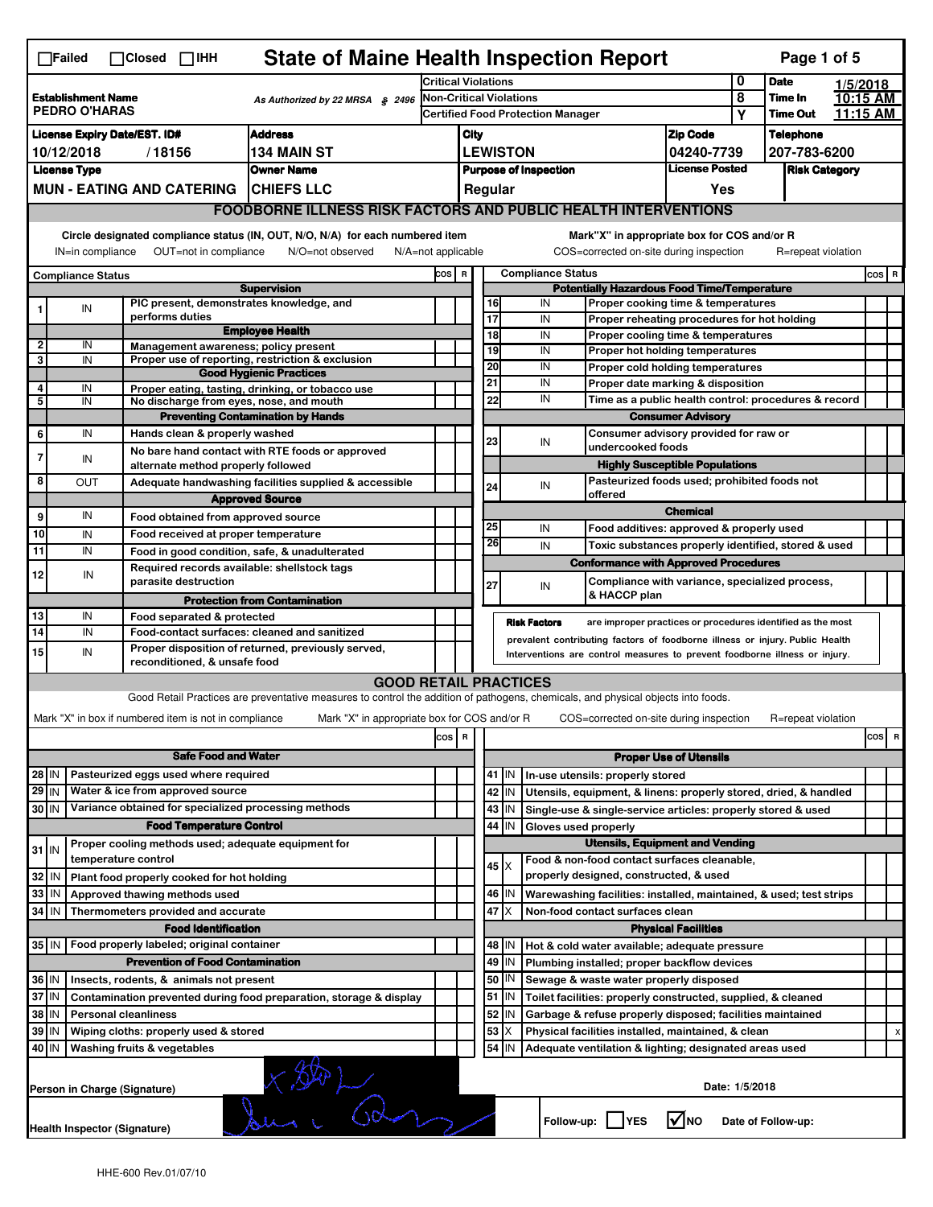| <b>State of Maine Health Inspection Report</b><br>$\Box$ Failed<br>$\Box$ Closed $\Box$ IHH |                                                                                                                                                                   |                                                                      |                                                                                             |                                                                     |                            |                                                          |                                  |                                                                                       | Page 1 of 5                                                                                                                                                |                                       |          |                                     |  |       |   |
|---------------------------------------------------------------------------------------------|-------------------------------------------------------------------------------------------------------------------------------------------------------------------|----------------------------------------------------------------------|---------------------------------------------------------------------------------------------|---------------------------------------------------------------------|----------------------------|----------------------------------------------------------|----------------------------------|---------------------------------------------------------------------------------------|------------------------------------------------------------------------------------------------------------------------------------------------------------|---------------------------------------|----------|-------------------------------------|--|-------|---|
|                                                                                             |                                                                                                                                                                   |                                                                      |                                                                                             |                                                                     | <b>Critical Violations</b> |                                                          |                                  |                                                                                       |                                                                                                                                                            |                                       | 0        | <b>Date</b><br>1/5/2018<br>10:15 AM |  |       |   |
| <b>Establishment Name</b><br>As Authorized by 22 MRSA $$$ 2496<br><b>PEDRO O'HARAS</b>      |                                                                                                                                                                   |                                                                      |                                                                                             | Non-Critical Violations<br><b>Certified Food Protection Manager</b> |                            |                                                          |                                  |                                                                                       | 8<br>Y                                                                                                                                                     | <b>Time In</b><br><b>Time Out</b>     | 11:15 AM |                                     |  |       |   |
|                                                                                             | <b>Address</b><br><b>License Expiry Date/EST. ID#</b>                                                                                                             |                                                                      |                                                                                             |                                                                     |                            |                                                          |                                  |                                                                                       |                                                                                                                                                            |                                       |          | <b>Telephone</b>                    |  |       |   |
|                                                                                             | 10/12/2018<br>/18156<br><b>134 MAIN ST</b>                                                                                                                        |                                                                      |                                                                                             |                                                                     |                            | <b>Zip Code</b><br>City<br><b>LEWISTON</b><br>04240-7739 |                                  |                                                                                       |                                                                                                                                                            |                                       |          | 207-783-6200                        |  |       |   |
|                                                                                             | <b>License Type</b><br><b>Owner Name</b>                                                                                                                          |                                                                      |                                                                                             |                                                                     |                            |                                                          |                                  |                                                                                       | <b>Purpose of Inspection</b>                                                                                                                               | <b>License Posted</b>                 |          | <b>Risk Category</b>                |  |       |   |
|                                                                                             | <b>MUN - EATING AND CATERING</b><br><b>CHIEFS LLC</b>                                                                                                             |                                                                      |                                                                                             |                                                                     |                            |                                                          | Regular                          |                                                                                       |                                                                                                                                                            | Yes                                   |          |                                     |  |       |   |
|                                                                                             | <b>FOODBORNE ILLNESS RISK FACTORS AND PUBLIC HEALTH INTERVENTIONS</b>                                                                                             |                                                                      |                                                                                             |                                                                     |                            |                                                          |                                  |                                                                                       |                                                                                                                                                            |                                       |          |                                     |  |       |   |
|                                                                                             |                                                                                                                                                                   |                                                                      | Circle designated compliance status (IN, OUT, N/O, N/A) for each numbered item              |                                                                     |                            |                                                          |                                  |                                                                                       | Mark"X" in appropriate box for COS and/or R                                                                                                                |                                       |          |                                     |  |       |   |
|                                                                                             | IN=in compliance                                                                                                                                                  | OUT=not in compliance                                                | N/O=not observed                                                                            | $N/A = not$ applicable                                              |                            |                                                          |                                  |                                                                                       | COS=corrected on-site during inspection                                                                                                                    |                                       |          | R=repeat violation                  |  |       |   |
|                                                                                             | <b>Compliance Status</b>                                                                                                                                          |                                                                      |                                                                                             |                                                                     | COS R                      |                                                          |                                  |                                                                                       | <b>Compliance Status</b>                                                                                                                                   |                                       |          |                                     |  | COS R |   |
|                                                                                             | IN                                                                                                                                                                |                                                                      | <b>Supervision</b><br>PIC present, demonstrates knowledge, and                              |                                                                     |                            |                                                          | 16                               |                                                                                       | <b>Potentially Hazardous Food Time/Temperature</b><br>IN<br>Proper cooking time & temperatures                                                             |                                       |          |                                     |  |       |   |
|                                                                                             |                                                                                                                                                                   | performs duties                                                      |                                                                                             |                                                                     |                            |                                                          | 17                               |                                                                                       | IN<br>Proper reheating procedures for hot holding                                                                                                          |                                       |          |                                     |  |       |   |
| $\mathbf{2}$                                                                                | IN                                                                                                                                                                |                                                                      | <b>Employee Health</b><br>Management awareness; policy present                              |                                                                     |                            |                                                          | 18                               |                                                                                       | IN<br>Proper cooling time & temperatures                                                                                                                   |                                       |          |                                     |  |       |   |
| 3                                                                                           | IN                                                                                                                                                                |                                                                      | Proper use of reporting, restriction & exclusion                                            |                                                                     |                            |                                                          | 19<br>20                         |                                                                                       | IN<br>Proper hot holding temperatures                                                                                                                      |                                       |          |                                     |  |       |   |
|                                                                                             |                                                                                                                                                                   |                                                                      | <b>Good Hygienic Practices</b>                                                              |                                                                     |                            |                                                          | 21                               |                                                                                       | IN<br>Proper cold holding temperatures<br>IN<br>Proper date marking & disposition                                                                          |                                       |          |                                     |  |       |   |
| 4<br>5                                                                                      | IN<br>IN                                                                                                                                                          |                                                                      | Proper eating, tasting, drinking, or tobacco use<br>No discharge from eyes, nose, and mouth |                                                                     |                            |                                                          | 22                               |                                                                                       | IN<br>Time as a public health control: procedures & record                                                                                                 |                                       |          |                                     |  |       |   |
|                                                                                             |                                                                                                                                                                   |                                                                      | <b>Preventing Contamination by Hands</b>                                                    |                                                                     |                            |                                                          |                                  |                                                                                       |                                                                                                                                                            | <b>Consumer Advisory</b>              |          |                                     |  |       |   |
| 6                                                                                           | IN                                                                                                                                                                | Hands clean & properly washed                                        |                                                                                             |                                                                     |                            |                                                          | 23                               |                                                                                       | Consumer advisory provided for raw or<br>IN                                                                                                                |                                       |          |                                     |  |       |   |
| 7                                                                                           | IN                                                                                                                                                                |                                                                      | No bare hand contact with RTE foods or approved                                             |                                                                     |                            |                                                          |                                  |                                                                                       | undercooked foods                                                                                                                                          |                                       |          |                                     |  |       |   |
| 8                                                                                           | <b>OUT</b>                                                                                                                                                        |                                                                      | alternate method properly followed                                                          |                                                                     |                            |                                                          |                                  |                                                                                       | Pasteurized foods used; prohibited foods not                                                                                                               | <b>Highly Susceptible Populations</b> |          |                                     |  |       |   |
|                                                                                             |                                                                                                                                                                   |                                                                      | Adequate handwashing facilities supplied & accessible<br><b>Approved Source</b>             |                                                                     |                            |                                                          | 24                               |                                                                                       | IN<br>offered                                                                                                                                              |                                       |          |                                     |  |       |   |
| 9 <sup>1</sup>                                                                              | <b>Chemical</b><br>IN<br>Food obtained from approved source                                                                                                       |                                                                      |                                                                                             |                                                                     |                            |                                                          |                                  |                                                                                       |                                                                                                                                                            |                                       |          |                                     |  |       |   |
| 10                                                                                          | IN                                                                                                                                                                |                                                                      | Food received at proper temperature                                                         |                                                                     |                            |                                                          | 25                               |                                                                                       | IN<br>Food additives: approved & properly used                                                                                                             |                                       |          |                                     |  |       |   |
| 11                                                                                          | IN                                                                                                                                                                |                                                                      | Food in good condition, safe, & unadulterated                                               |                                                                     |                            |                                                          | 26                               |                                                                                       | IN<br>Toxic substances properly identified, stored & used                                                                                                  |                                       |          |                                     |  |       |   |
| 12                                                                                          | IN                                                                                                                                                                |                                                                      | Required records available: shellstock tags                                                 |                                                                     |                            |                                                          |                                  |                                                                                       | <b>Conformance with Approved Procedures</b>                                                                                                                |                                       |          |                                     |  |       |   |
|                                                                                             |                                                                                                                                                                   | parasite destruction                                                 |                                                                                             |                                                                     |                            |                                                          | 27                               |                                                                                       | Compliance with variance, specialized process,<br>IN<br>& HACCP plan                                                                                       |                                       |          |                                     |  |       |   |
| 13                                                                                          | IN                                                                                                                                                                | Food separated & protected                                           | <b>Protection from Contamination</b>                                                        |                                                                     |                            |                                                          |                                  |                                                                                       |                                                                                                                                                            |                                       |          |                                     |  |       |   |
| 14                                                                                          | IN                                                                                                                                                                |                                                                      | Food-contact surfaces: cleaned and sanitized                                                |                                                                     |                            |                                                          |                                  | <b>Risk Factors</b>                                                                   | are improper practices or procedures identified as the most                                                                                                |                                       |          |                                     |  |       |   |
| 15                                                                                          | IN                                                                                                                                                                |                                                                      | Proper disposition of returned, previously served,                                          |                                                                     |                            |                                                          |                                  |                                                                                       | prevalent contributing factors of foodborne illness or injury. Public Health<br>Interventions are control measures to prevent foodborne illness or injury. |                                       |          |                                     |  |       |   |
| reconditioned, & unsafe food                                                                |                                                                                                                                                                   |                                                                      |                                                                                             |                                                                     |                            |                                                          |                                  |                                                                                       |                                                                                                                                                            |                                       |          |                                     |  |       |   |
|                                                                                             | <b>GOOD RETAIL PRACTICES</b><br>Good Retail Practices are preventative measures to control the addition of pathogens, chemicals, and physical objects into foods. |                                                                      |                                                                                             |                                                                     |                            |                                                          |                                  |                                                                                       |                                                                                                                                                            |                                       |          |                                     |  |       |   |
|                                                                                             |                                                                                                                                                                   |                                                                      |                                                                                             |                                                                     |                            |                                                          |                                  |                                                                                       | COS=corrected on-site during inspection                                                                                                                    |                                       |          | R=repeat violation                  |  |       |   |
|                                                                                             | Mark "X" in box if numbered item is not in compliance<br>Mark "X" in appropriate box for COS and/or R                                                             |                                                                      |                                                                                             |                                                                     |                            |                                                          |                                  |                                                                                       |                                                                                                                                                            |                                       |          |                                     |  | cos   | R |
| <b>Safe Food and Water</b>                                                                  |                                                                                                                                                                   |                                                                      | cos                                                                                         | R                                                                   |                            |                                                          |                                  | <b>Proper Use of Utensils</b>                                                         |                                                                                                                                                            |                                       |          |                                     |  |       |   |
| Pasteurized eggs used where required<br>28 IN                                               |                                                                                                                                                                   |                                                                      |                                                                                             |                                                                     |                            | 41   IN                                                  | In-use utensils: properly stored |                                                                                       |                                                                                                                                                            |                                       |          |                                     |  |       |   |
| 29 IN                                                                                       |                                                                                                                                                                   | Water & ice from approved source                                     |                                                                                             |                                                                     |                            |                                                          |                                  | 42 IN                                                                                 | Utensils, equipment, & linens: properly stored, dried, & handled                                                                                           |                                       |          |                                     |  |       |   |
| 30 IN                                                                                       |                                                                                                                                                                   |                                                                      | Variance obtained for specialized processing methods                                        |                                                                     |                            |                                                          |                                  | 43 IN                                                                                 | Single-use & single-service articles: properly stored & used                                                                                               |                                       |          |                                     |  |       |   |
| <b>Food Temperature Control</b>                                                             |                                                                                                                                                                   |                                                                      |                                                                                             |                                                                     |                            |                                                          | 44                               | IN                                                                                    | Gloves used properly                                                                                                                                       |                                       |          |                                     |  |       |   |
| Proper cooling methods used; adequate equipment for<br>$31$ IN                              |                                                                                                                                                                   |                                                                      |                                                                                             |                                                                     |                            |                                                          |                                  |                                                                                       | <b>Utensils, Equipment and Vending</b>                                                                                                                     |                                       |          |                                     |  |       |   |
| temperature control<br>32 IN<br>Plant food properly cooked for hot holding                  |                                                                                                                                                                   |                                                                      |                                                                                             |                                                                     |                            |                                                          | $45 \times$                      | Food & non-food contact surfaces cleanable.<br>properly designed, constructed, & used |                                                                                                                                                            |                                       |          |                                     |  |       |   |
| $33$   IN                                                                                   |                                                                                                                                                                   | Approved thawing methods used                                        |                                                                                             |                                                                     |                            |                                                          |                                  | 46 IN                                                                                 | Warewashing facilities: installed, maintained, & used; test strips                                                                                         |                                       |          |                                     |  |       |   |
| $34$ IN                                                                                     |                                                                                                                                                                   | Thermometers provided and accurate                                   |                                                                                             |                                                                     |                            |                                                          |                                  | $47$ $\times$                                                                         | Non-food contact surfaces clean                                                                                                                            |                                       |          |                                     |  |       |   |
|                                                                                             |                                                                                                                                                                   | <b>Food Identification</b>                                           |                                                                                             |                                                                     |                            |                                                          |                                  |                                                                                       |                                                                                                                                                            | <b>Physical Facilities</b>            |          |                                     |  |       |   |
|                                                                                             |                                                                                                                                                                   | 35 IN   Food properly labeled; original container                    |                                                                                             |                                                                     |                            |                                                          |                                  | 48   IN                                                                               | Hot & cold water available; adequate pressure                                                                                                              |                                       |          |                                     |  |       |   |
|                                                                                             |                                                                                                                                                                   | <b>Prevention of Food Contamination</b>                              |                                                                                             |                                                                     |                            |                                                          | 49                               | IN                                                                                    | Plumbing installed; proper backflow devices                                                                                                                |                                       |          |                                     |  |       |   |
| 36   IN                                                                                     |                                                                                                                                                                   | Insects, rodents, & animals not present                              |                                                                                             |                                                                     |                            |                                                          | 50                               | IN                                                                                    | Sewage & waste water properly disposed                                                                                                                     |                                       |          |                                     |  |       |   |
| 37 IN                                                                                       |                                                                                                                                                                   |                                                                      | Contamination prevented during food preparation, storage & display                          |                                                                     |                            |                                                          | 51<br>52                         | IN                                                                                    | Toilet facilities: properly constructed, supplied, & cleaned                                                                                               |                                       |          |                                     |  |       |   |
| 38 IN<br>39 IN                                                                              |                                                                                                                                                                   | <b>Personal cleanliness</b><br>Wiping cloths: properly used & stored |                                                                                             |                                                                     |                            |                                                          | 53                               | IN                                                                                    | Garbage & refuse properly disposed; facilities maintained<br>Physical facilities installed, maintained, & clean                                            |                                       |          |                                     |  |       |   |
| 40 IN                                                                                       |                                                                                                                                                                   | Washing fruits & vegetables                                          |                                                                                             |                                                                     |                            |                                                          | 54                               | IN                                                                                    | Adequate ventilation & lighting; designated areas used                                                                                                     |                                       |          |                                     |  |       |   |
|                                                                                             |                                                                                                                                                                   |                                                                      |                                                                                             |                                                                     |                            |                                                          |                                  |                                                                                       |                                                                                                                                                            |                                       |          |                                     |  |       |   |
|                                                                                             |                                                                                                                                                                   | Person in Charge (Signature)                                         | $\sqrt{2}$                                                                                  |                                                                     |                            |                                                          |                                  |                                                                                       |                                                                                                                                                            | Date: 1/5/2018                        |          |                                     |  |       |   |
|                                                                                             | Follow-up:  <br>$\sqrt{ }$ NO<br><b>YES</b><br>Date of Follow-up:<br>Health Inspector (Signature)                                                                 |                                                                      |                                                                                             |                                                                     |                            |                                                          |                                  |                                                                                       |                                                                                                                                                            |                                       |          |                                     |  |       |   |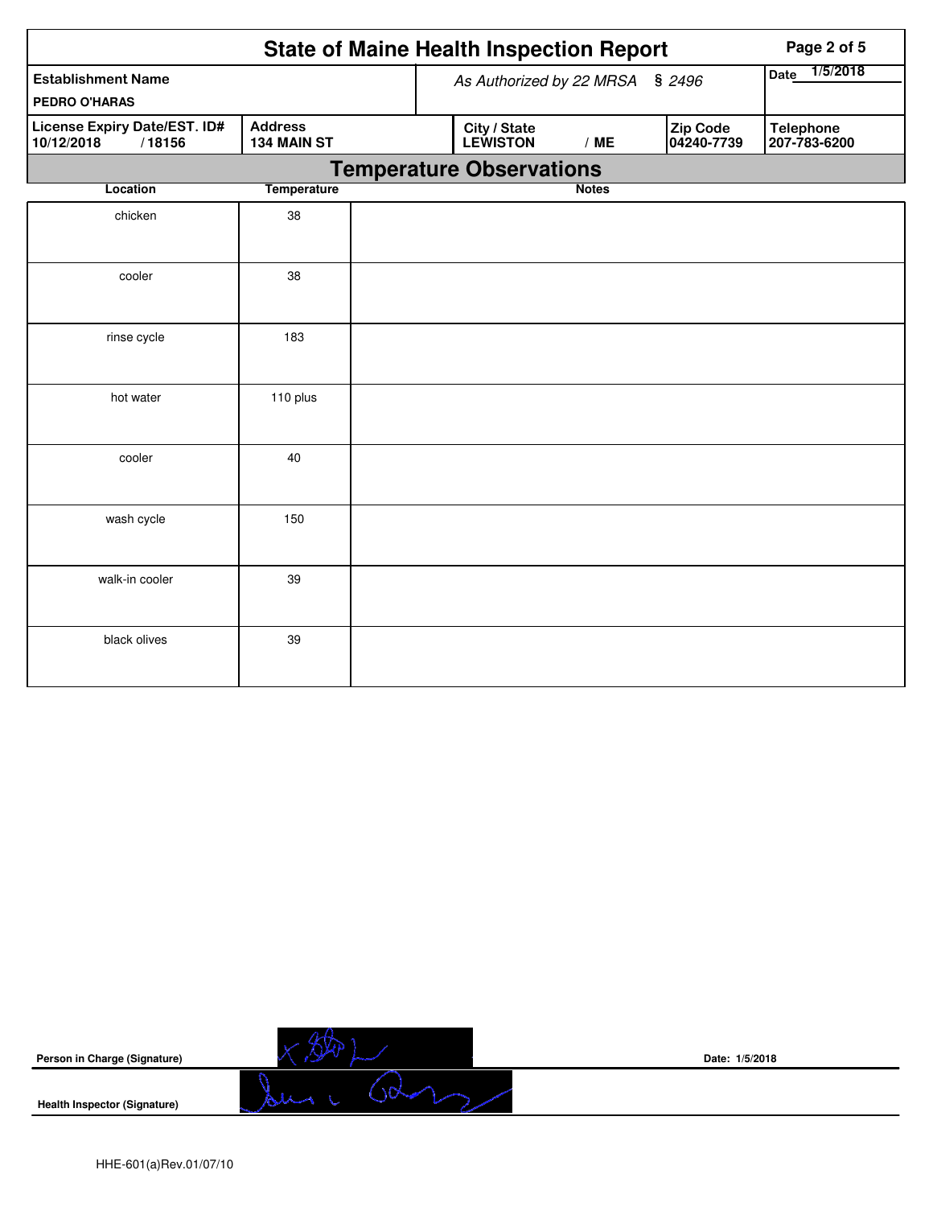|                                                      |                               | <b>State of Maine Health Inspection Report</b><br>Page 2 of 5                                        |
|------------------------------------------------------|-------------------------------|------------------------------------------------------------------------------------------------------|
| <b>Establishment Name</b><br><b>PEDRO O'HARAS</b>    |                               | 1/5/2018<br>Date<br>As Authorized by 22 MRSA § 2496                                                  |
| License Expiry Date/EST. ID#<br>/18156<br>10/12/2018 | <b>Address</b><br>134 MAIN ST | Zip Code<br>City / State<br><b>Telephone</b><br><b>LEWISTON</b><br>04240-7739<br>/ME<br>207-783-6200 |
|                                                      |                               | <b>Temperature Observations</b>                                                                      |
| Location                                             | <b>Temperature</b>            | <b>Notes</b>                                                                                         |
| chicken                                              | 38                            |                                                                                                      |
| cooler                                               | 38                            |                                                                                                      |
| rinse cycle                                          | 183                           |                                                                                                      |
| hot water                                            | 110 plus                      |                                                                                                      |
| cooler                                               | 40                            |                                                                                                      |
| wash cycle                                           | 150                           |                                                                                                      |
| walk-in cooler                                       | 39                            |                                                                                                      |
| black olives                                         | 39                            |                                                                                                      |

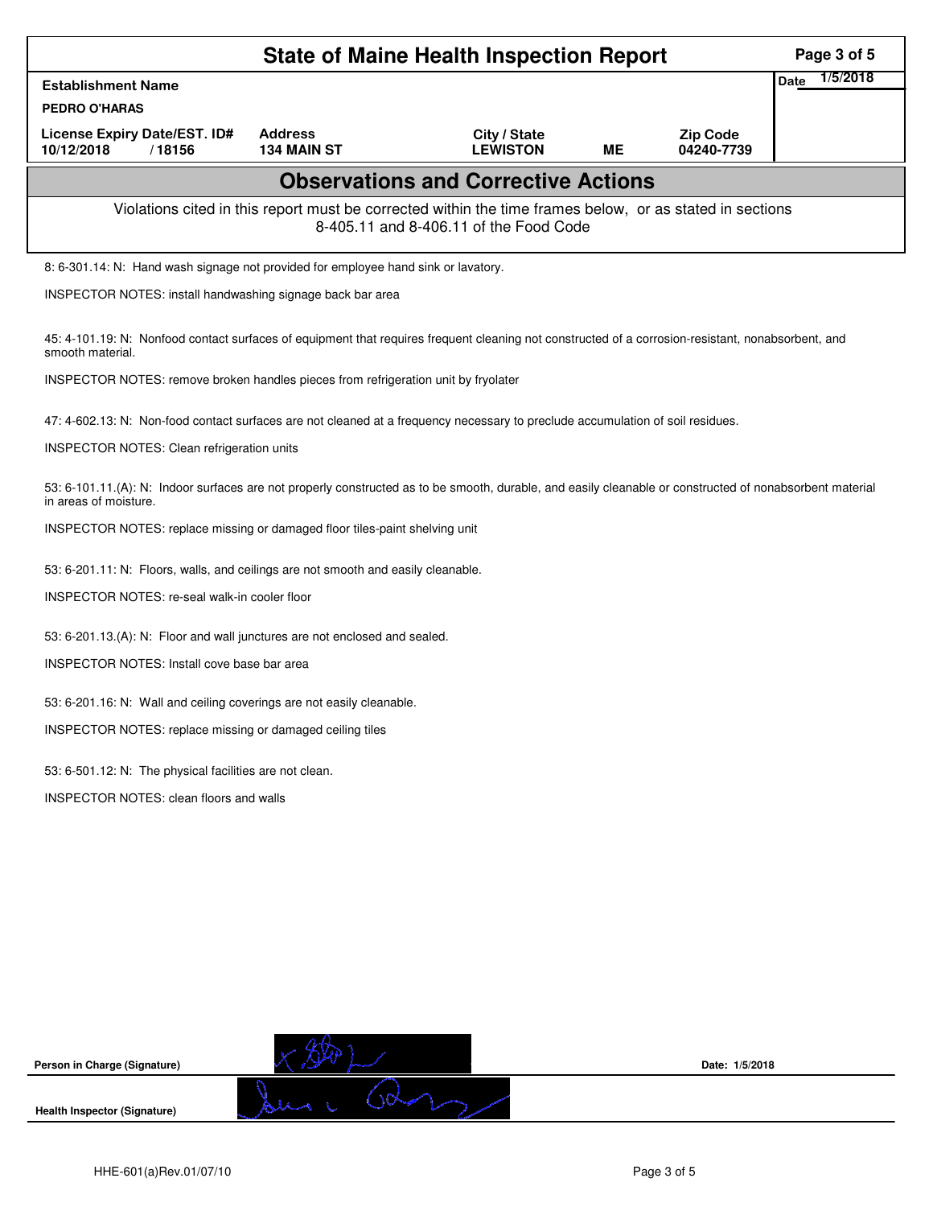| Date<br><b>Establishment Name</b><br><b>PEDRO O'HARAS</b><br>License Expiry Date/EST. ID#<br><b>Address</b><br>City / State<br><b>Zip Code</b><br><b>LEWISTON</b><br>10/12/2018<br>/18156<br><b>134 MAIN ST</b><br>ME<br>04240-7739<br><b>Observations and Corrective Actions</b><br>Violations cited in this report must be corrected within the time frames below, or as stated in sections<br>8-405.11 and 8-406.11 of the Food Code<br>8: 6-301.14: N: Hand wash signage not provided for employee hand sink or lavatory.<br>INSPECTOR NOTES: install handwashing signage back bar area<br>45: 4-101.19: N: Nonfood contact surfaces of equipment that requires frequent cleaning not constructed of a corrosion-resistant, nonabsorbent, and<br>smooth material.<br>INSPECTOR NOTES: remove broken handles pieces from refrigeration unit by fryolater<br>47: 4-602.13: N: Non-food contact surfaces are not cleaned at a frequency necessary to preclude accumulation of soil residues.<br><b>INSPECTOR NOTES: Clean refrigeration units</b><br>53: 6-101.11.(A): N: Indoor surfaces are not properly constructed as to be smooth, durable, and easily cleanable or constructed of nonabsorbent material<br>in areas of moisture.<br>INSPECTOR NOTES: replace missing or damaged floor tiles-paint shelving unit<br>53: 6-201.11: N: Floors, walls, and ceilings are not smooth and easily cleanable.<br>INSPECTOR NOTES: re-seal walk-in cooler floor<br>53: 6-201.13.(A): N: Floor and wall junctures are not enclosed and sealed.<br><b>INSPECTOR NOTES: Install cove base bar area</b><br>53: 6-201.16: N: Wall and ceiling coverings are not easily cleanable.<br>INSPECTOR NOTES: replace missing or damaged ceiling tiles | 1/5/2018 |  |  |
|----------------------------------------------------------------------------------------------------------------------------------------------------------------------------------------------------------------------------------------------------------------------------------------------------------------------------------------------------------------------------------------------------------------------------------------------------------------------------------------------------------------------------------------------------------------------------------------------------------------------------------------------------------------------------------------------------------------------------------------------------------------------------------------------------------------------------------------------------------------------------------------------------------------------------------------------------------------------------------------------------------------------------------------------------------------------------------------------------------------------------------------------------------------------------------------------------------------------------------------------------------------------------------------------------------------------------------------------------------------------------------------------------------------------------------------------------------------------------------------------------------------------------------------------------------------------------------------------------------------------------------------------------------------------------------------------------------------------------------------|----------|--|--|
|                                                                                                                                                                                                                                                                                                                                                                                                                                                                                                                                                                                                                                                                                                                                                                                                                                                                                                                                                                                                                                                                                                                                                                                                                                                                                                                                                                                                                                                                                                                                                                                                                                                                                                                                        |          |  |  |
|                                                                                                                                                                                                                                                                                                                                                                                                                                                                                                                                                                                                                                                                                                                                                                                                                                                                                                                                                                                                                                                                                                                                                                                                                                                                                                                                                                                                                                                                                                                                                                                                                                                                                                                                        |          |  |  |
|                                                                                                                                                                                                                                                                                                                                                                                                                                                                                                                                                                                                                                                                                                                                                                                                                                                                                                                                                                                                                                                                                                                                                                                                                                                                                                                                                                                                                                                                                                                                                                                                                                                                                                                                        |          |  |  |
|                                                                                                                                                                                                                                                                                                                                                                                                                                                                                                                                                                                                                                                                                                                                                                                                                                                                                                                                                                                                                                                                                                                                                                                                                                                                                                                                                                                                                                                                                                                                                                                                                                                                                                                                        |          |  |  |
|                                                                                                                                                                                                                                                                                                                                                                                                                                                                                                                                                                                                                                                                                                                                                                                                                                                                                                                                                                                                                                                                                                                                                                                                                                                                                                                                                                                                                                                                                                                                                                                                                                                                                                                                        |          |  |  |
|                                                                                                                                                                                                                                                                                                                                                                                                                                                                                                                                                                                                                                                                                                                                                                                                                                                                                                                                                                                                                                                                                                                                                                                                                                                                                                                                                                                                                                                                                                                                                                                                                                                                                                                                        |          |  |  |
|                                                                                                                                                                                                                                                                                                                                                                                                                                                                                                                                                                                                                                                                                                                                                                                                                                                                                                                                                                                                                                                                                                                                                                                                                                                                                                                                                                                                                                                                                                                                                                                                                                                                                                                                        |          |  |  |
|                                                                                                                                                                                                                                                                                                                                                                                                                                                                                                                                                                                                                                                                                                                                                                                                                                                                                                                                                                                                                                                                                                                                                                                                                                                                                                                                                                                                                                                                                                                                                                                                                                                                                                                                        |          |  |  |
|                                                                                                                                                                                                                                                                                                                                                                                                                                                                                                                                                                                                                                                                                                                                                                                                                                                                                                                                                                                                                                                                                                                                                                                                                                                                                                                                                                                                                                                                                                                                                                                                                                                                                                                                        |          |  |  |
|                                                                                                                                                                                                                                                                                                                                                                                                                                                                                                                                                                                                                                                                                                                                                                                                                                                                                                                                                                                                                                                                                                                                                                                                                                                                                                                                                                                                                                                                                                                                                                                                                                                                                                                                        |          |  |  |
|                                                                                                                                                                                                                                                                                                                                                                                                                                                                                                                                                                                                                                                                                                                                                                                                                                                                                                                                                                                                                                                                                                                                                                                                                                                                                                                                                                                                                                                                                                                                                                                                                                                                                                                                        |          |  |  |
|                                                                                                                                                                                                                                                                                                                                                                                                                                                                                                                                                                                                                                                                                                                                                                                                                                                                                                                                                                                                                                                                                                                                                                                                                                                                                                                                                                                                                                                                                                                                                                                                                                                                                                                                        |          |  |  |
|                                                                                                                                                                                                                                                                                                                                                                                                                                                                                                                                                                                                                                                                                                                                                                                                                                                                                                                                                                                                                                                                                                                                                                                                                                                                                                                                                                                                                                                                                                                                                                                                                                                                                                                                        |          |  |  |
|                                                                                                                                                                                                                                                                                                                                                                                                                                                                                                                                                                                                                                                                                                                                                                                                                                                                                                                                                                                                                                                                                                                                                                                                                                                                                                                                                                                                                                                                                                                                                                                                                                                                                                                                        |          |  |  |
|                                                                                                                                                                                                                                                                                                                                                                                                                                                                                                                                                                                                                                                                                                                                                                                                                                                                                                                                                                                                                                                                                                                                                                                                                                                                                                                                                                                                                                                                                                                                                                                                                                                                                                                                        |          |  |  |
|                                                                                                                                                                                                                                                                                                                                                                                                                                                                                                                                                                                                                                                                                                                                                                                                                                                                                                                                                                                                                                                                                                                                                                                                                                                                                                                                                                                                                                                                                                                                                                                                                                                                                                                                        |          |  |  |
|                                                                                                                                                                                                                                                                                                                                                                                                                                                                                                                                                                                                                                                                                                                                                                                                                                                                                                                                                                                                                                                                                                                                                                                                                                                                                                                                                                                                                                                                                                                                                                                                                                                                                                                                        |          |  |  |
|                                                                                                                                                                                                                                                                                                                                                                                                                                                                                                                                                                                                                                                                                                                                                                                                                                                                                                                                                                                                                                                                                                                                                                                                                                                                                                                                                                                                                                                                                                                                                                                                                                                                                                                                        |          |  |  |
|                                                                                                                                                                                                                                                                                                                                                                                                                                                                                                                                                                                                                                                                                                                                                                                                                                                                                                                                                                                                                                                                                                                                                                                                                                                                                                                                                                                                                                                                                                                                                                                                                                                                                                                                        |          |  |  |
| 53: 6-501.12: N: The physical facilities are not clean.                                                                                                                                                                                                                                                                                                                                                                                                                                                                                                                                                                                                                                                                                                                                                                                                                                                                                                                                                                                                                                                                                                                                                                                                                                                                                                                                                                                                                                                                                                                                                                                                                                                                                |          |  |  |
| INSPECTOR NOTES: clean floors and walls                                                                                                                                                                                                                                                                                                                                                                                                                                                                                                                                                                                                                                                                                                                                                                                                                                                                                                                                                                                                                                                                                                                                                                                                                                                                                                                                                                                                                                                                                                                                                                                                                                                                                                |          |  |  |

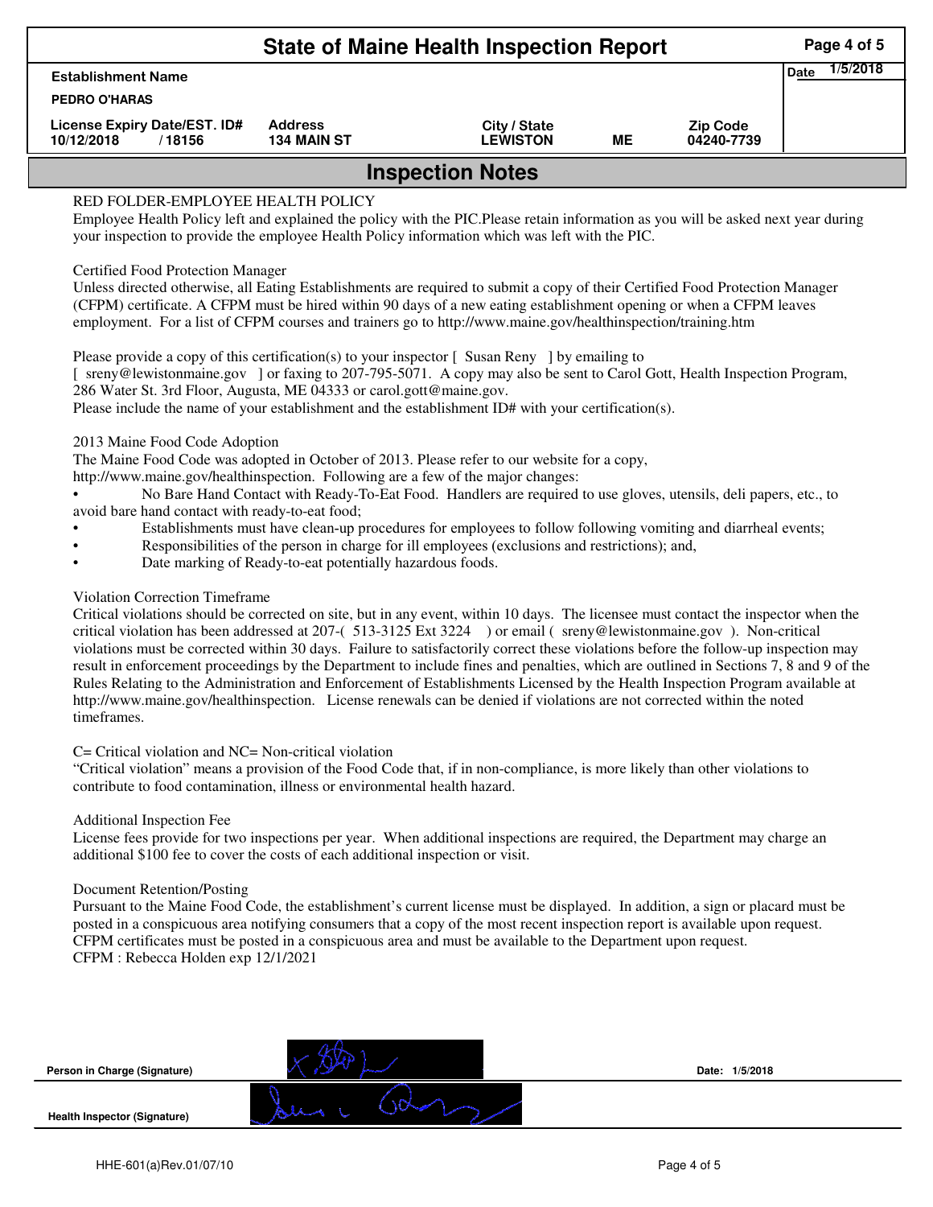| <b>State of Maine Health Inspection Report</b>       |                                      |                                 |    |                               |                  |  |  |  |
|------------------------------------------------------|--------------------------------------|---------------------------------|----|-------------------------------|------------------|--|--|--|
| <b>Establishment Name</b>                            |                                      |                                 |    |                               | 1/5/2018<br>Date |  |  |  |
| <b>PEDRO O'HARAS</b>                                 |                                      |                                 |    |                               |                  |  |  |  |
| License Expiry Date/EST. ID#<br>10/12/2018<br>/18156 | <b>Address</b><br><b>134 MAIN ST</b> | City / State<br><b>LEWISTON</b> | MЕ | <b>Zip Code</b><br>04240-7739 |                  |  |  |  |
| <b>Inspection Notes</b>                              |                                      |                                 |    |                               |                  |  |  |  |

# RED FOLDER-EMPLOYEE HEALTH POLICY

Employee Health Policy left and explained the policy with the PIC.Please retain information as you will be asked next year during your inspection to provide the employee Health Policy information which was left with the PIC.

### Certified Food Protection Manager

Unless directed otherwise, all Eating Establishments are required to submit a copy of their Certified Food Protection Manager (CFPM) certificate. A CFPM must be hired within 90 days of a new eating establishment opening or when a CFPM leaves employment. For a list of CFPM courses and trainers go to http://www.maine.gov/healthinspection/training.htm

Please provide a copy of this certification(s) to your inspector [Susan Reny ] by emailing to [ sreny@lewistonmaine.gov ] or faxing to 207-795-5071. A copy may also be sent to Carol Gott, Health Inspection Program, 286 Water St. 3rd Floor, Augusta, ME 04333 or carol.gott@maine.gov.

Please include the name of your establishment and the establishment ID# with your certification(s).

2013 Maine Food Code Adoption

The Maine Food Code was adopted in October of 2013. Please refer to our website for a copy,

http://www.maine.gov/healthinspection. Following are a few of the major changes:

• No Bare Hand Contact with Ready-To-Eat Food. Handlers are required to use gloves, utensils, deli papers, etc., to avoid bare hand contact with ready-to-eat food;

- Establishments must have clean-up procedures for employees to follow following vomiting and diarrheal events;
- Responsibilities of the person in charge for ill employees (exclusions and restrictions); and,
- Date marking of Ready-to-eat potentially hazardous foods.

## Violation Correction Timeframe

Critical violations should be corrected on site, but in any event, within 10 days. The licensee must contact the inspector when the critical violation has been addressed at 207-( 513-3125 Ext 3224 ) or email ( sreny@lewistonmaine.gov ). Non-critical violations must be corrected within 30 days. Failure to satisfactorily correct these violations before the follow-up inspection may result in enforcement proceedings by the Department to include fines and penalties, which are outlined in Sections 7, 8 and 9 of the Rules Relating to the Administration and Enforcement of Establishments Licensed by the Health Inspection Program available at http://www.maine.gov/healthinspection. License renewals can be denied if violations are not corrected within the noted timeframes.

### C= Critical violation and NC= Non-critical violation

"Critical violation" means a provision of the Food Code that, if in non-compliance, is more likely than other violations to contribute to food contamination, illness or environmental health hazard.

### Additional Inspection Fee

License fees provide for two inspections per year. When additional inspections are required, the Department may charge an additional \$100 fee to cover the costs of each additional inspection or visit.

### Document Retention/Posting

Pursuant to the Maine Food Code, the establishment's current license must be displayed. In addition, a sign or placard must be posted in a conspicuous area notifying consumers that a copy of the most recent inspection report is available upon request. CFPM certificates must be posted in a conspicuous area and must be available to the Department upon request. CFPM : Rebecca Holden exp 12/1/2021